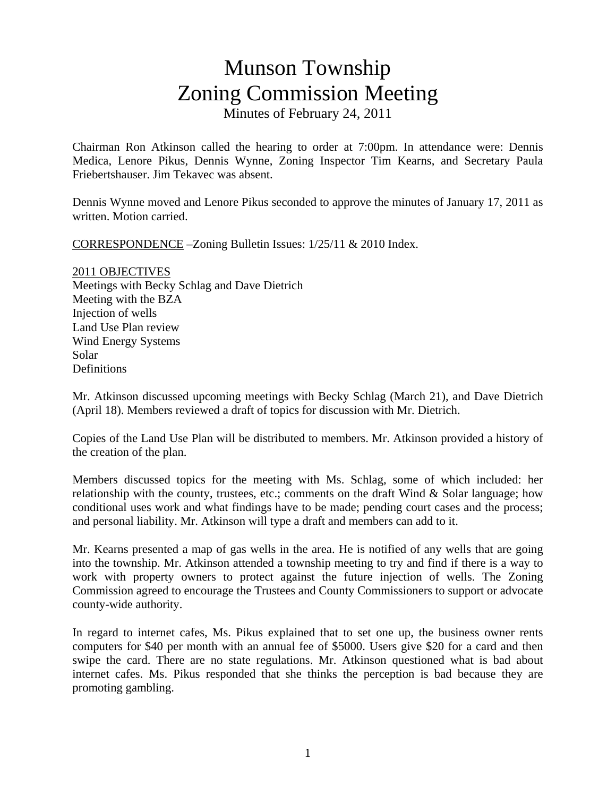## Munson Township Zoning Commission Meeting Minutes of February 24, 2011

Chairman Ron Atkinson called the hearing to order at 7:00pm. In attendance were: Dennis Medica, Lenore Pikus, Dennis Wynne, Zoning Inspector Tim Kearns, and Secretary Paula Friebertshauser. Jim Tekavec was absent.

Dennis Wynne moved and Lenore Pikus seconded to approve the minutes of January 17, 2011 as written. Motion carried.

CORRESPONDENCE –Zoning Bulletin Issues: 1/25/11 & 2010 Index.

2011 OBJECTIVES Meetings with Becky Schlag and Dave Dietrich Meeting with the BZA Injection of wells Land Use Plan review Wind Energy Systems Solar **Definitions** 

Mr. Atkinson discussed upcoming meetings with Becky Schlag (March 21), and Dave Dietrich (April 18). Members reviewed a draft of topics for discussion with Mr. Dietrich.

Copies of the Land Use Plan will be distributed to members. Mr. Atkinson provided a history of the creation of the plan.

Members discussed topics for the meeting with Ms. Schlag, some of which included: her relationship with the county, trustees, etc.; comments on the draft Wind & Solar language; how conditional uses work and what findings have to be made; pending court cases and the process; and personal liability. Mr. Atkinson will type a draft and members can add to it.

Mr. Kearns presented a map of gas wells in the area. He is notified of any wells that are going into the township. Mr. Atkinson attended a township meeting to try and find if there is a way to work with property owners to protect against the future injection of wells. The Zoning Commission agreed to encourage the Trustees and County Commissioners to support or advocate county-wide authority.

In regard to internet cafes, Ms. Pikus explained that to set one up, the business owner rents computers for \$40 per month with an annual fee of \$5000. Users give \$20 for a card and then swipe the card. There are no state regulations. Mr. Atkinson questioned what is bad about internet cafes. Ms. Pikus responded that she thinks the perception is bad because they are promoting gambling.